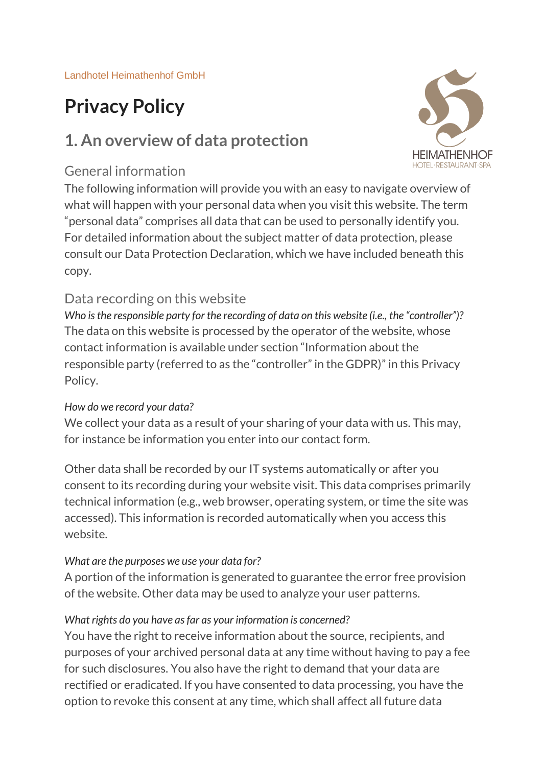# **Privacy Policy**

# **1. An overview of data protection**

### General information



# Data recording on this website

*Who is the responsible party for the recording of data on this website (i.e., the "controller")?* The data on this website is processed by the operator of the website, whose contact information is available under section "Information about the responsible party (referred to as the "controller" in the GDPR)" in this Privacy Policy.

#### *How do we record your data?*

We collect your data as a result of your sharing of your data with us. This may, for instance be information you enter into our contact form.

Other data shall be recorded by our IT systems automatically or after you consent to its recording during your website visit. This data comprises primarily technical information (e.g., web browser, operating system, or time the site was accessed). This information is recorded automatically when you access this website.

#### *What are the purposes we use your data for?*

A portion of the information is generated to guarantee the error free provision of the website. Other data may be used to analyze your user patterns.

#### *What rights do you have as far as your information is concerned?*

You have the right to receive information about the source, recipients, and purposes of your archived personal data at any time without having to pay a fee for such disclosures. You also have the right to demand that your data are rectified or eradicated. If you have consented to data processing, you have the option to revoke this consent at any time, which shall affect all future data

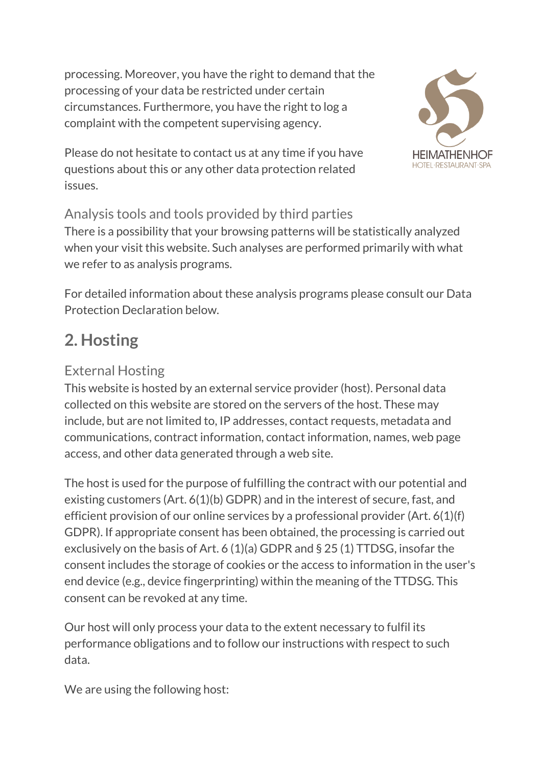processing. Moreover, you have the right to demand that the processing of your data be restricted under certain circumstances. Furthermore, you have the right to log a complaint with the competent supervising agency.



Please do not hesitate to contact us at any time if you have questions about this or any other data protection related issues.

# Analysis tools and tools provided by third parties

There is a possibility that your browsing patterns will be statistically analyzed when your visit this website. Such analyses are performed primarily with what we refer to as analysis programs.

For detailed information about these analysis programs please consult our Data Protection Declaration below.

# **2. Hosting**

# External Hosting

This website is hosted by an external service provider (host). Personal data collected on this website are stored on the servers of the host. These may include, but are not limited to, IP addresses, contact requests, metadata and communications, contract information, contact information, names, web page access, and other data generated through a web site.

The host is used for the purpose of fulfilling the contract with our potential and existing customers (Art. 6(1)(b) GDPR) and in the interest of secure, fast, and efficient provision of our online services by a professional provider (Art. 6(1)(f) GDPR). If appropriate consent has been obtained, the processing is carried out exclusively on the basis of Art. 6 (1)(a) GDPR and § 25 (1) TTDSG, insofar the consent includes the storage of cookies or the access to information in the user's end device (e.g., device fingerprinting) within the meaning of the TTDSG. This consent can be revoked at any time.

Our host will only process your data to the extent necessary to fulfil its performance obligations and to follow our instructions with respect to such data.

We are using the following host: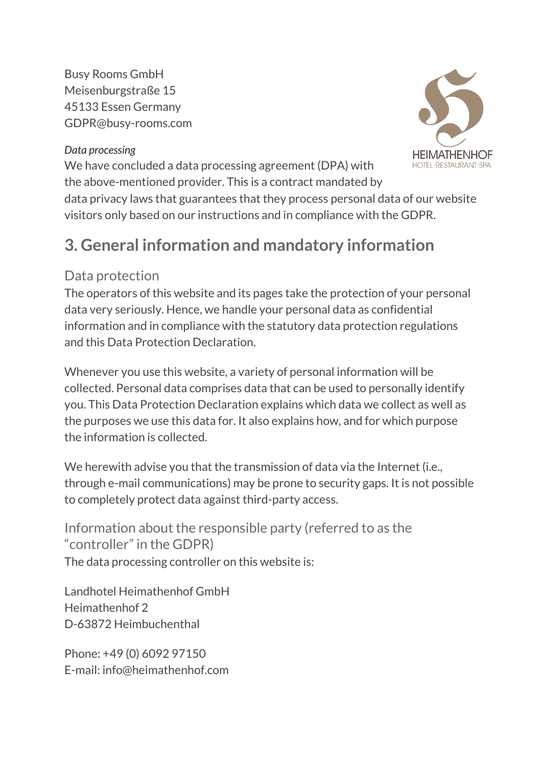Busy Rooms GmbH Meisenburgstraße 15 45133 Essen Germany GDPR@busy-rooms.com

#### *Data processing*

We have concluded a data processing agreement (DPA) with the above-mentioned provider. This is a contract mandated by



data privacy laws that guarantees that they process personal data of our website visitors only based on our instructions and in compliance with the GDPR.

# **3. General information and mandatory information**

## Data protection

The operators of this website and its pages take the protection of your personal data very seriously. Hence, we handle your personal data as confidential information and in compliance with the statutory data protection regulations and this Data Protection Declaration.

Whenever you use this website, a variety of personal information will be collected. Personal data comprises data that can be used to personally identify you. This Data Protection Declaration explains which data we collect as well as the purposes we use this data for. It also explains how, and for which purpose the information is collected.

We herewith advise you that the transmission of data via the Internet (i.e., through e-mail communications) may be prone to security gaps. It is not possible to completely protect data against third-party access.

Information about the responsible party (referred to as the "controller" in the GDPR) The data processing controller on this website is:

Landhotel Heimathenhof GmbH Heimathenhof 2 D-63872 Heimbuchenthal

Phone: +49 (0) 6092 97150 E-mail: info@heimathenhof.com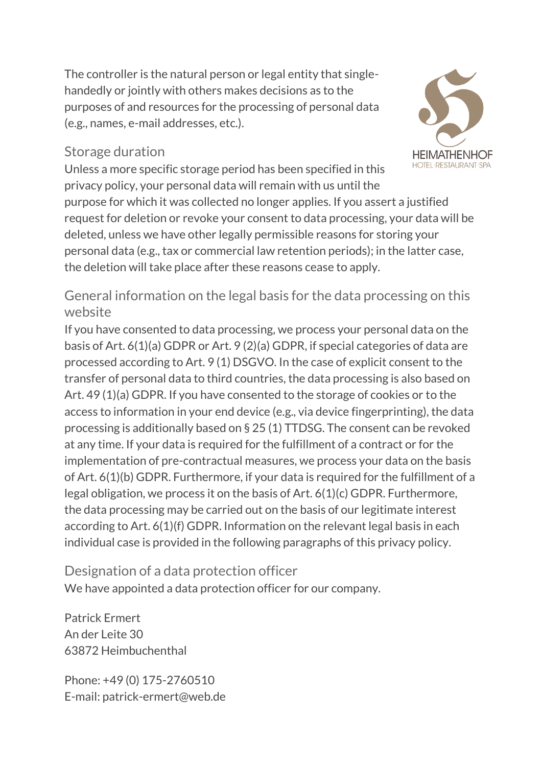The controller is the natural person or legal entity that singlehandedly or jointly with others makes decisions as to the purposes of and resources for the processing of personal data (e.g., names, e-mail addresses, etc.).

### Storage duration

Unless a more specific storage period has been specified in this privacy policy, your personal data will remain with us until the

purpose for which it was collected no longer applies. If you assert a justified request for deletion or revoke your consent to data processing, your data will be deleted, unless we have other legally permissible reasons for storing your personal data (e.g., tax or commercial law retention periods); in the latter case, the deletion will take place after these reasons cease to apply.

General information on the legal basis for the data processing on this website

If you have consented to data processing, we process your personal data on the basis of Art. 6(1)(a) GDPR or Art. 9 (2)(a) GDPR, if special categories of data are processed according to Art. 9 (1) DSGVO. In the case of explicit consent to the transfer of personal data to third countries, the data processing is also based on Art. 49 (1)(a) GDPR. If you have consented to the storage of cookies or to the access to information in your end device (e.g., via device fingerprinting), the data processing is additionally based on § 25 (1) TTDSG. The consent can be revoked at any time. If your data is required for the fulfillment of a contract or for the implementation of pre-contractual measures, we process your data on the basis of Art. 6(1)(b) GDPR. Furthermore, if your data is required for the fulfillment of a legal obligation, we process it on the basis of Art. 6(1)(c) GDPR. Furthermore, the data processing may be carried out on the basis of our legitimate interest according to Art. 6(1)(f) GDPR. Information on the relevant legal basis in each individual case is provided in the following paragraphs of this privacy policy.

Designation of a data protection officer We have appointed a data protection officer for our company.

Patrick Ermert An der Leite 30 63872 Heimbuchenthal

Phone: +49 (0) 175-2760510 E-mail: patrick-ermert@web.de

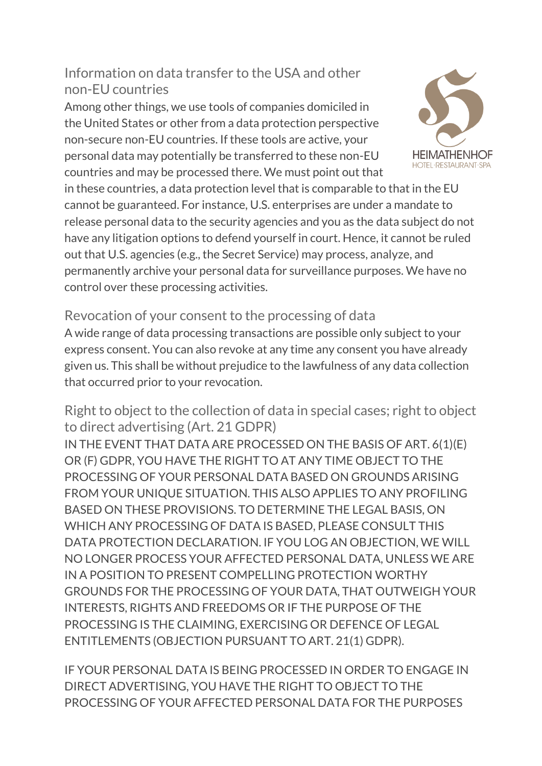Information on data transfer to the USA and other non-EU countries

Among other things, we use tools of companies domiciled in the United States or other from a data protection perspective non-secure non-EU countries. If these tools are active, your personal data may potentially be transferred to these non-EU countries and may be processed there. We must point out that

in these countries, a data protection level that is comparable to that in the EU cannot be guaranteed. For instance, U.S. enterprises are under a mandate to release personal data to the security agencies and you as the data subject do not have any litigation options to defend yourself in court. Hence, it cannot be ruled out that U.S. agencies (e.g., the Secret Service) may process, analyze, and permanently archive your personal data for surveillance purposes. We have no control over these processing activities.

Revocation of your consent to the processing of data A wide range of data processing transactions are possible only subject to your express consent. You can also revoke at any time any consent you have already given us. This shall be without prejudice to the lawfulness of any data collection that occurred prior to your revocation.

Right to object to the collection of data in special cases; right to object to direct advertising (Art. 21 GDPR)

IN THE EVENT THAT DATA ARE PROCESSED ON THE BASIS OF ART. 6(1)(E) OR (F) GDPR, YOU HAVE THE RIGHT TO AT ANY TIME OBJECT TO THE PROCESSING OF YOUR PERSONAL DATA BASED ON GROUNDS ARISING FROM YOUR UNIQUE SITUATION. THIS ALSO APPLIES TO ANY PROFILING BASED ON THESE PROVISIONS. TO DETERMINE THE LEGAL BASIS, ON WHICH ANY PROCESSING OF DATA IS BASED, PLEASE CONSULT THIS DATA PROTECTION DECLARATION. IF YOU LOG AN OBJECTION, WE WILL NO LONGER PROCESS YOUR AFFECTED PERSONAL DATA, UNLESS WE ARE IN A POSITION TO PRESENT COMPELLING PROTECTION WORTHY GROUNDS FOR THE PROCESSING OF YOUR DATA, THAT OUTWEIGH YOUR INTERESTS, RIGHTS AND FREEDOMS OR IF THE PURPOSE OF THE PROCESSING IS THE CLAIMING, EXERCISING OR DEFENCE OF LEGAL ENTITLEMENTS (OBJECTION PURSUANT TO ART. 21(1) GDPR).

IF YOUR PERSONAL DATA IS BEING PROCESSED IN ORDER TO ENGAGE IN DIRECT ADVERTISING, YOU HAVE THE RIGHT TO OBJECT TO THE PROCESSING OF YOUR AFFECTED PERSONAL DATA FOR THE PURPOSES

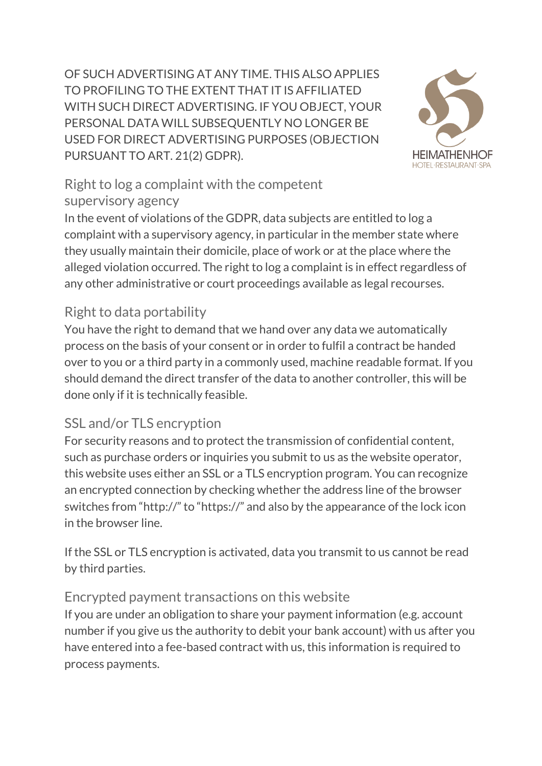OF SUCH ADVERTISING AT ANY TIME. THIS ALSO APPLIES TO PROFILING TO THE EXTENT THAT IT IS AFFILIATED WITH SUCH DIRECT ADVERTISING. IF YOU OBJECT, YOUR PERSONAL DATA WILL SUBSEQUENTLY NO LONGER BE USED FOR DIRECT ADVERTISING PURPOSES (OBJECTION PURSUANT TO ART. 21(2) GDPR).



# Right to log a complaint with the competent supervisory agency

In the event of violations of the GDPR, data subjects are entitled to log a complaint with a supervisory agency, in particular in the member state where they usually maintain their domicile, place of work or at the place where the alleged violation occurred. The right to log a complaint is in effect regardless of any other administrative or court proceedings available as legal recourses.

# Right to data portability

You have the right to demand that we hand over any data we automatically process on the basis of your consent or in order to fulfil a contract be handed over to you or a third party in a commonly used, machine readable format. If you should demand the direct transfer of the data to another controller, this will be done only if it is technically feasible.

# SSL and/or TLS encryption

For security reasons and to protect the transmission of confidential content, such as purchase orders or inquiries you submit to us as the website operator, this website uses either an SSL or a TLS encryption program. You can recognize an encrypted connection by checking whether the address line of the browser switches from "http://" to "https://" and also by the appearance of the lock icon in the browser line.

If the SSL or TLS encryption is activated, data you transmit to us cannot be read by third parties.

## Encrypted payment transactions on this website

If you are under an obligation to share your payment information (e.g. account number if you give us the authority to debit your bank account) with us after you have entered into a fee-based contract with us, this information is required to process payments.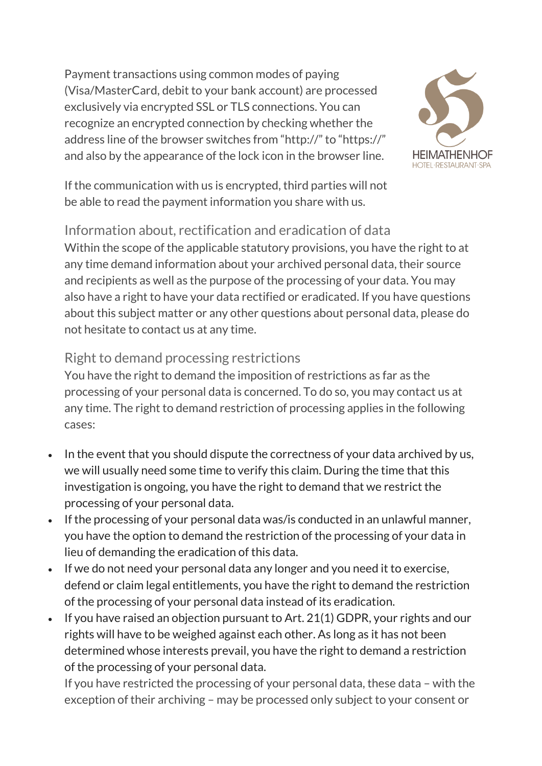Payment transactions using common modes of paying (Visa/MasterCard, debit to your bank account) are processed exclusively via encrypted SSL or TLS connections. You can recognize an encrypted connection by checking whether the address line of the browser switches from "http://" to "https://" and also by the appearance of the lock icon in the browser line.



If the communication with us is encrypted, third parties will not be able to read the payment information you share with us.

Information about, rectification and eradication of data Within the scope of the applicable statutory provisions, you have the right to at any time demand information about your archived personal data, their source and recipients as well as the purpose of the processing of your data. You may also have a right to have your data rectified or eradicated. If you have questions about this subject matter or any other questions about personal data, please do not hesitate to contact us at any time.

# Right to demand processing restrictions

You have the right to demand the imposition of restrictions as far as the processing of your personal data is concerned. To do so, you may contact us at any time. The right to demand restriction of processing applies in the following cases:

- In the event that you should dispute the correctness of your data archived by us, we will usually need some time to verify this claim. During the time that this investigation is ongoing, you have the right to demand that we restrict the processing of your personal data.
- If the processing of your personal data was/is conducted in an unlawful manner, you have the option to demand the restriction of the processing of your data in lieu of demanding the eradication of this data.
- If we do not need your personal data any longer and you need it to exercise, defend or claim legal entitlements, you have the right to demand the restriction of the processing of your personal data instead of its eradication.
- If you have raised an objection pursuant to Art. 21(1) GDPR, your rights and our rights will have to be weighed against each other. As long as it has not been determined whose interests prevail, you have the right to demand a restriction of the processing of your personal data.

If you have restricted the processing of your personal data, these data – with the exception of their archiving – may be processed only subject to your consent or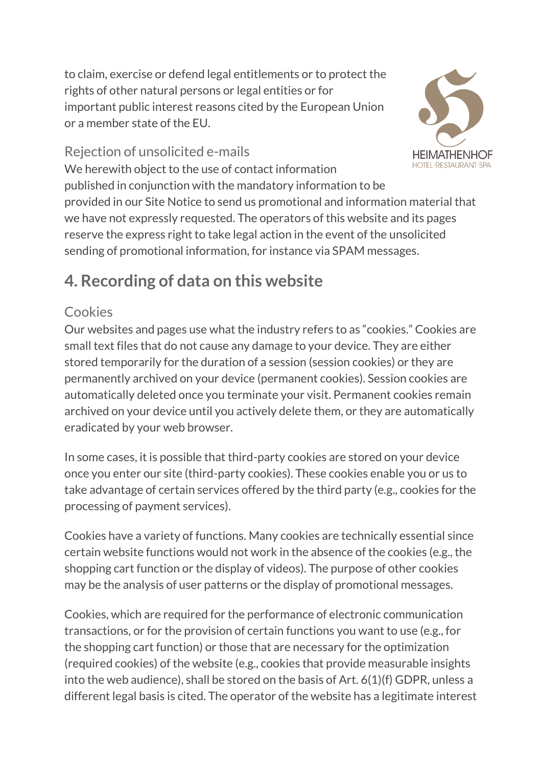to claim, exercise or defend legal entitlements or to protect the rights of other natural persons or legal entities or for important public interest reasons cited by the European Union or a member state of the EU.



# Rejection of unsolicited e-mails

We herewith object to the use of contact information published in conjunction with the mandatory information to be provided in our Site Notice to send us promotional and information material that we have not expressly requested. The operators of this website and its pages reserve the express right to take legal action in the event of the unsolicited sending of promotional information, for instance via SPAM messages.

# **4. Recording of data on this website**

# Cookies

Our websites and pages use what the industry refers to as "cookies." Cookies are small text files that do not cause any damage to your device. They are either stored temporarily for the duration of a session (session cookies) or they are permanently archived on your device (permanent cookies). Session cookies are automatically deleted once you terminate your visit. Permanent cookies remain archived on your device until you actively delete them, or they are automatically eradicated by your web browser.

In some cases, it is possible that third-party cookies are stored on your device once you enter our site (third-party cookies). These cookies enable you or us to take advantage of certain services offered by the third party (e.g., cookies for the processing of payment services).

Cookies have a variety of functions. Many cookies are technically essential since certain website functions would not work in the absence of the cookies (e.g., the shopping cart function or the display of videos). The purpose of other cookies may be the analysis of user patterns or the display of promotional messages.

Cookies, which are required for the performance of electronic communication transactions, or for the provision of certain functions you want to use (e.g., for the shopping cart function) or those that are necessary for the optimization (required cookies) of the website (e.g., cookies that provide measurable insights into the web audience), shall be stored on the basis of Art. 6(1)(f) GDPR, unless a different legal basis is cited. The operator of the website has a legitimate interest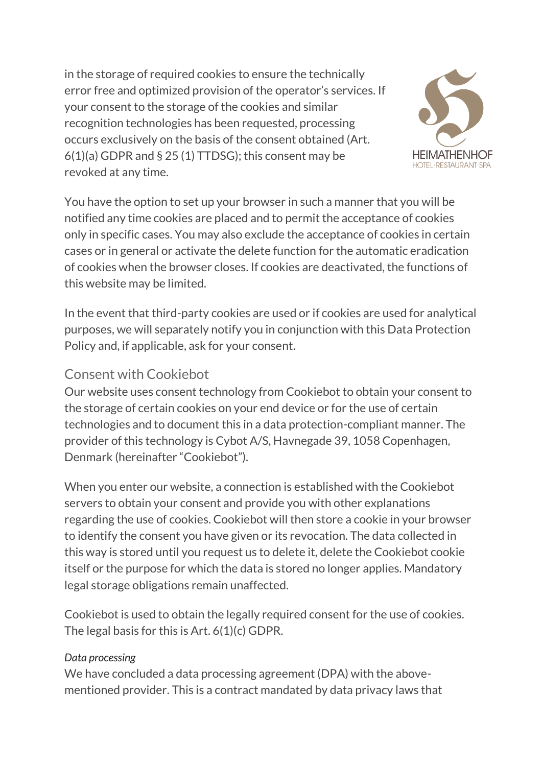in the storage of required cookies to ensure the technically error free and optimized provision of the operator's services. If your consent to the storage of the cookies and similar recognition technologies has been requested, processing occurs exclusively on the basis of the consent obtained (Art. 6(1)(a) GDPR and § 25 (1) TTDSG); this consent may be revoked at any time.



You have the option to set up your browser in such a manner that you will be notified any time cookies are placed and to permit the acceptance of cookies only in specific cases. You may also exclude the acceptance of cookies in certain cases or in general or activate the delete function for the automatic eradication of cookies when the browser closes. If cookies are deactivated, the functions of this website may be limited.

In the event that third-party cookies are used or if cookies are used for analytical purposes, we will separately notify you in conjunction with this Data Protection Policy and, if applicable, ask for your consent.

## Consent with Cookiebot

Our website uses consent technology from Cookiebot to obtain your consent to the storage of certain cookies on your end device or for the use of certain technologies and to document this in a data protection-compliant manner. The provider of this technology is Cybot A/S, Havnegade 39, 1058 Copenhagen, Denmark (hereinafter "Cookiebot").

When you enter our website, a connection is established with the Cookiebot servers to obtain your consent and provide you with other explanations regarding the use of cookies. Cookiebot will then store a cookie in your browser to identify the consent you have given or its revocation. The data collected in this way is stored until you request us to delete it, delete the Cookiebot cookie itself or the purpose for which the data is stored no longer applies. Mandatory legal storage obligations remain unaffected.

Cookiebot is used to obtain the legally required consent for the use of cookies. The legal basis for this is Art. 6(1)(c) GDPR.

#### *Data processing*

We have concluded a data processing agreement (DPA) with the abovementioned provider. This is a contract mandated by data privacy laws that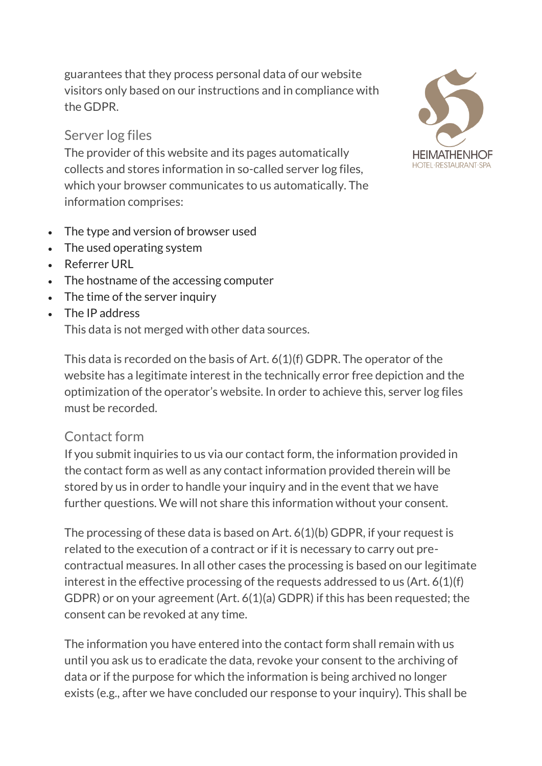guarantees that they process personal data of our website visitors only based on our instructions and in compliance with the GDPR.

### Server log files

The provider of this website and its pages automatically collects and stores information in so-called server log files, which your browser communicates to us automatically. The information comprises:

- The type and version of browser used
- The used operating system
- Referrer URL
- The hostname of the accessing computer
- The time of the server inquiry
- The IP address This data is not merged with other data sources.



This data is recorded on the basis of Art. 6(1)(f) GDPR. The operator of the website has a legitimate interest in the technically error free depiction and the optimization of the operator's website. In order to achieve this, server log files must be recorded.

#### Contact form

If you submit inquiries to us via our contact form, the information provided in the contact form as well as any contact information provided therein will be stored by us in order to handle your inquiry and in the event that we have further questions. We will not share this information without your consent.

The processing of these data is based on Art. 6(1)(b) GDPR, if your request is related to the execution of a contract or if it is necessary to carry out precontractual measures. In all other cases the processing is based on our legitimate interest in the effective processing of the requests addressed to us (Art. 6(1)(f) GDPR) or on your agreement (Art. 6(1)(a) GDPR) if this has been requested; the consent can be revoked at any time.

The information you have entered into the contact form shall remain with us until you ask us to eradicate the data, revoke your consent to the archiving of data or if the purpose for which the information is being archived no longer exists (e.g., after we have concluded our response to your inquiry). This shall be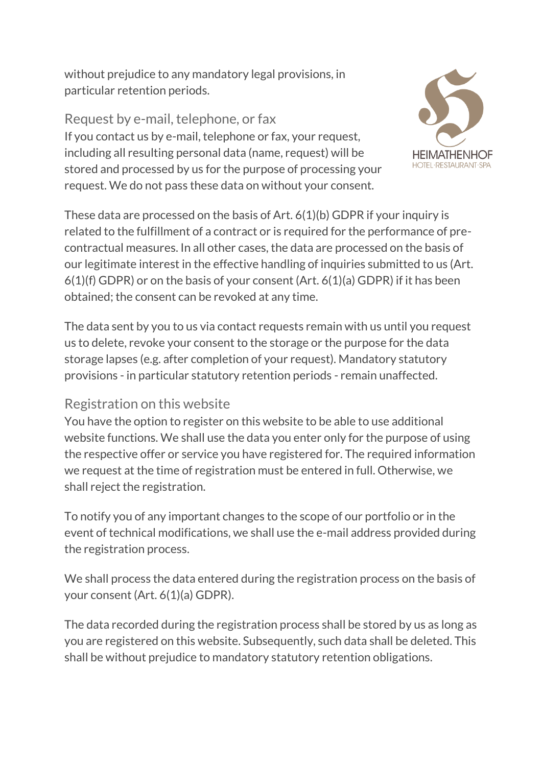without prejudice to any mandatory legal provisions, in particular retention periods.

Request by e-mail, telephone, or fax If you contact us by e-mail, telephone or fax, your request, including all resulting personal data (name, request) will be stored and processed by us for the purpose of processing your request. We do not pass these data on without your consent.



These data are processed on the basis of Art. 6(1)(b) GDPR if your inquiry is related to the fulfillment of a contract or is required for the performance of precontractual measures. In all other cases, the data are processed on the basis of our legitimate interest in the effective handling of inquiries submitted to us (Art. 6(1)(f) GDPR) or on the basis of your consent (Art. 6(1)(a) GDPR) if it has been obtained; the consent can be revoked at any time.

The data sent by you to us via contact requests remain with us until you request us to delete, revoke your consent to the storage or the purpose for the data storage lapses (e.g. after completion of your request). Mandatory statutory provisions - in particular statutory retention periods - remain unaffected.

## Registration on this website

You have the option to register on this website to be able to use additional website functions. We shall use the data you enter only for the purpose of using the respective offer or service you have registered for. The required information we request at the time of registration must be entered in full. Otherwise, we shall reject the registration.

To notify you of any important changes to the scope of our portfolio or in the event of technical modifications, we shall use the e-mail address provided during the registration process.

We shall process the data entered during the registration process on the basis of your consent (Art. 6(1)(a) GDPR).

The data recorded during the registration process shall be stored by us as long as you are registered on this website. Subsequently, such data shall be deleted. This shall be without prejudice to mandatory statutory retention obligations.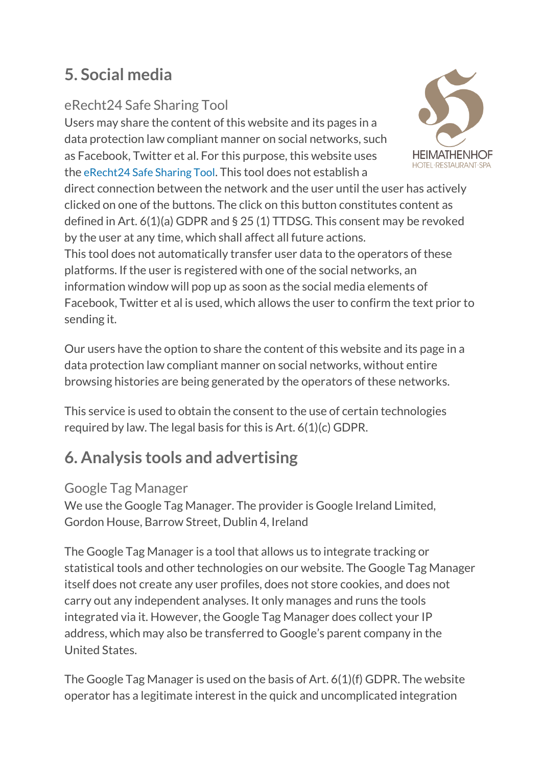# **5. Social media**

# eRecht24 Safe Sharing Tool

Users may share the content of this website and its pages in a data protection law compliant manner on social networks, such as Facebook, Twitter et al. For this purpose, this website uses the [eRecht24](https://www.e-recht24.de/erecht24-safe-sharing.html) Safe Sharing Tool. This tool does not establish a

direct connection between the network and the user until the user has actively clicked on one of the buttons. The click on this button constitutes content as defined in Art. 6(1)(a) GDPR and § 25 (1) TTDSG. This consent may be revoked by the user at any time, which shall affect all future actions.

This tool does not automatically transfer user data to the operators of these platforms. If the user is registered with one of the social networks, an information window will pop up as soon as the social media elements of Facebook, Twitter et al is used, which allows the user to confirm the text prior to sending it.

Our users have the option to share the content of this website and its page in a data protection law compliant manner on social networks, without entire browsing histories are being generated by the operators of these networks.

This service is used to obtain the consent to the use of certain technologies required by law. The legal basis for this is Art. 6(1)(c) GDPR.

# **6. Analysis tools and advertising**

# Google Tag Manager

We use the Google Tag Manager. The provider is Google Ireland Limited, Gordon House, Barrow Street, Dublin 4, Ireland

The Google Tag Manager is a tool that allows us to integrate tracking or statistical tools and other technologies on our website. The Google Tag Manager itself does not create any user profiles, does not store cookies, and does not carry out any independent analyses. It only manages and runs the tools integrated via it. However, the Google Tag Manager does collect your IP address, which may also be transferred to Google's parent company in the United States.

The Google Tag Manager is used on the basis of Art. 6(1)(f) GDPR. The website operator has a legitimate interest in the quick and uncomplicated integration

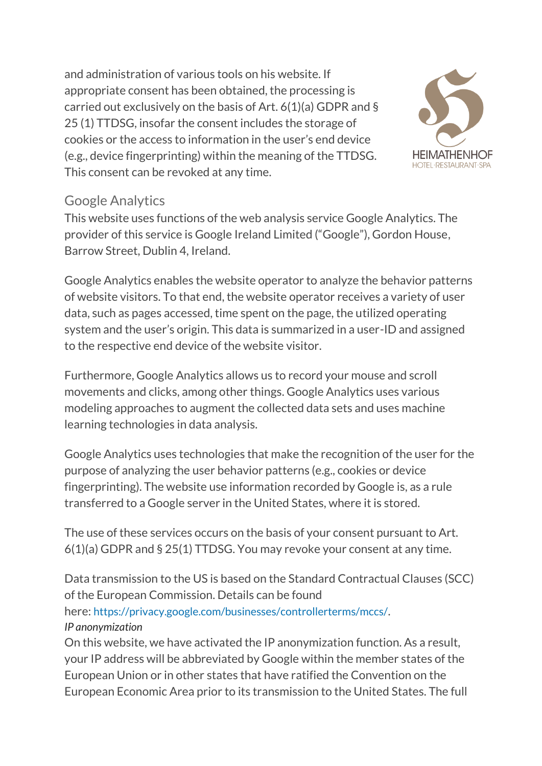and administration of various tools on his website. If appropriate consent has been obtained, the processing is carried out exclusively on the basis of Art. 6(1)(a) GDPR and § 25 (1) TTDSG, insofar the consent includes the storage of cookies or the access to information in the user's end device (e.g., device fingerprinting) within the meaning of the TTDSG. This consent can be revoked at any time.



## Google Analytics

This website uses functions of the web analysis service Google Analytics. The provider of this service is Google Ireland Limited ("Google"), Gordon House, Barrow Street, Dublin 4, Ireland.

Google Analytics enables the website operator to analyze the behavior patterns of website visitors. To that end, the website operator receives a variety of user data, such as pages accessed, time spent on the page, the utilized operating system and the user's origin. This data is summarized in a user-ID and assigned to the respective end device of the website visitor.

Furthermore, Google Analytics allows us to record your mouse and scroll movements and clicks, among other things. Google Analytics uses various modeling approaches to augment the collected data sets and uses machine learning technologies in data analysis.

Google Analytics uses technologies that make the recognition of the user for the purpose of analyzing the user behavior patterns (e.g., cookies or device fingerprinting). The website use information recorded by Google is, as a rule transferred to a Google server in the United States, where it is stored.

The use of these services occurs on the basis of your consent pursuant to Art. 6(1)(a) GDPR and § 25(1) TTDSG. You may revoke your consent at any time.

Data transmission to the US is based on the Standard Contractual Clauses (SCC) of the European Commission. Details can be found here: <https://privacy.google.com/businesses/controllerterms/mccs/>. *IP anonymization*

On this website, we have activated the IP anonymization function. As a result, your IP address will be abbreviated by Google within the member states of the European Union or in other states that have ratified the Convention on the European Economic Area prior to its transmission to the United States. The full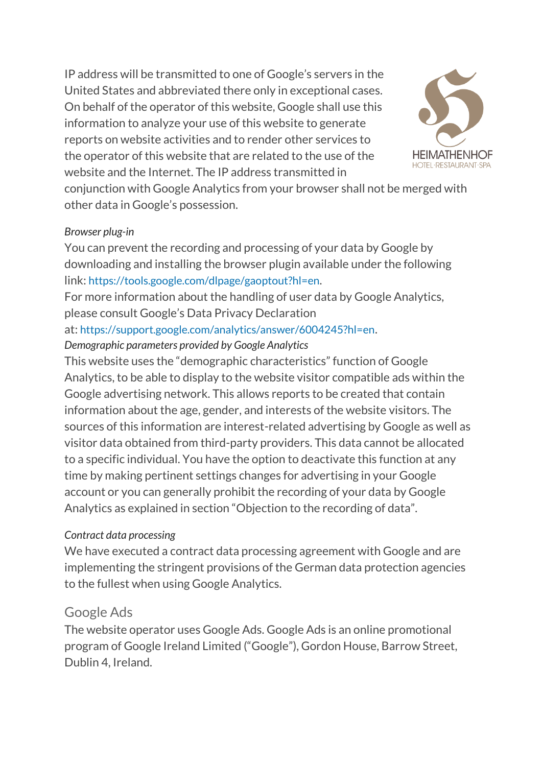IP address will be transmitted to one of Google's servers in the United States and abbreviated there only in exceptional cases. On behalf of the operator of this website, Google shall use this information to analyze your use of this website to generate reports on website activities and to render other services to the operator of this website that are related to the use of the website and the Internet. The IP address transmitted in



conjunction with Google Analytics from your browser shall not be merged with other data in Google's possession.

#### *Browser plug-in*

You can prevent the recording and processing of your data by Google by downloading and installing the browser plugin available under the following link: <https://tools.google.com/dlpage/gaoptout?hl=en>.

For more information about the handling of user data by Google Analytics, please consult Google's Data Privacy Declaration

#### at: <https://support.google.com/analytics/answer/6004245?hl=en>.

#### *Demographic parameters provided by Google Analytics*

This website uses the "demographic characteristics" function of Google Analytics, to be able to display to the website visitor compatible ads within the Google advertising network. This allows reports to be created that contain information about the age, gender, and interests of the website visitors. The sources of this information are interest-related advertising by Google as well as visitor data obtained from third-party providers. This data cannot be allocated to a specific individual. You have the option to deactivate this function at any time by making pertinent settings changes for advertising in your Google account or you can generally prohibit the recording of your data by Google Analytics as explained in section "Objection to the recording of data".

#### *Contract data processing*

We have executed a contract data processing agreement with Google and are implementing the stringent provisions of the German data protection agencies to the fullest when using Google Analytics.

## Google Ads

The website operator uses Google Ads. Google Ads is an online promotional program of Google Ireland Limited ("Google"), Gordon House, Barrow Street, Dublin 4, Ireland.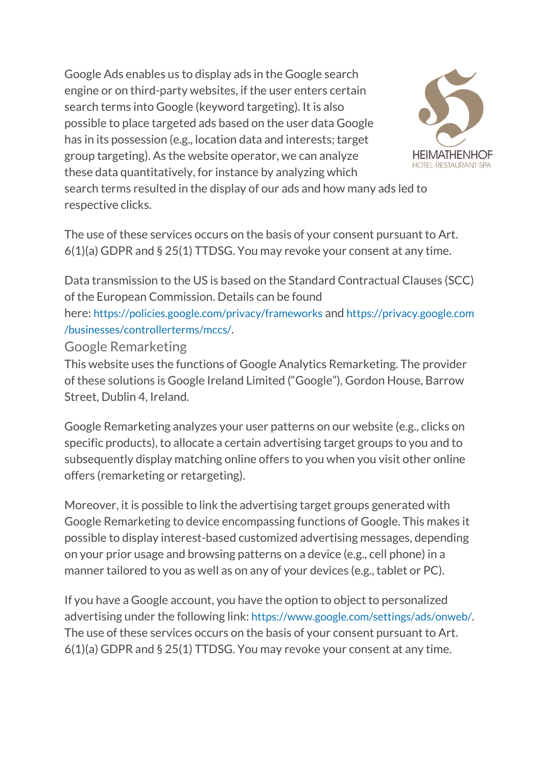Google Ads enables us to display ads in the Google search engine or on third-party websites, if the user enters certain search terms into Google (keyword targeting). It is also possible to place targeted ads based on the user data Google has in its possession (e.g., location data and interests; target group targeting). As the website operator, we can analyze these data quantitatively, for instance by analyzing which



search terms resulted in the display of our ads and how many ads led to respective clicks.

The use of these services occurs on the basis of your consent pursuant to Art. 6(1)(a) GDPR and § 25(1) TTDSG. You may revoke your consent at any time.

Data transmission to the US is based on the Standard Contractual Clauses (SCC) of the European Commission. Details can be found

here: <https://policies.google.com/privacy/frameworks> and [https://privacy.google.com](https://privacy.google.com/businesses/controllerterms/mccs/) [/businesses/controllerterms/mccs/](https://privacy.google.com/businesses/controllerterms/mccs/).

Google Remarketing

This website uses the functions of Google Analytics Remarketing. The provider of these solutions is Google Ireland Limited ("Google"), Gordon House, Barrow Street, Dublin 4, Ireland.

Google Remarketing analyzes your user patterns on our website (e.g., clicks on specific products), to allocate a certain advertising target groups to you and to subsequently display matching online offers to you when you visit other online offers (remarketing or retargeting).

Moreover, it is possible to link the advertising target groups generated with Google Remarketing to device encompassing functions of Google. This makes it possible to display interest-based customized advertising messages, depending on your prior usage and browsing patterns on a device (e.g., cell phone) in a manner tailored to you as well as on any of your devices (e.g., tablet or PC).

If you have a Google account, you have the option to object to personalized advertising under the following link: <https://www.google.com/settings/ads/onweb/>. The use of these services occurs on the basis of your consent pursuant to Art. 6(1)(a) GDPR and § 25(1) TTDSG. You may revoke your consent at any time.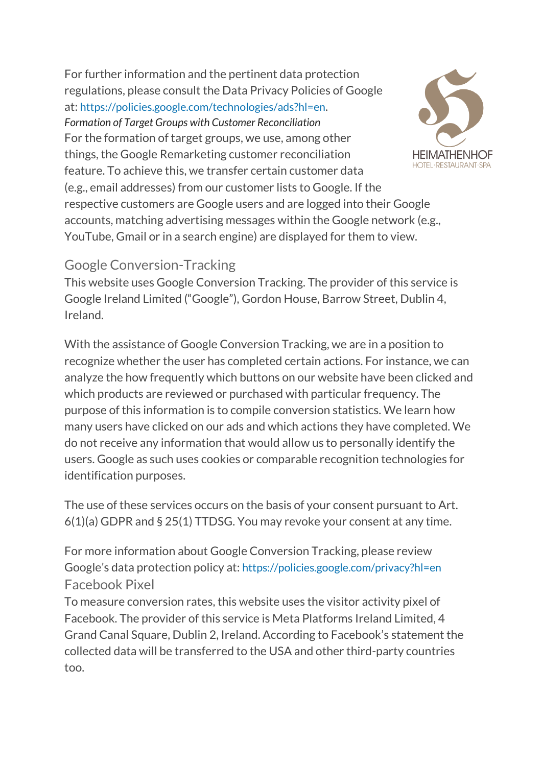For further information and the pertinent data protection regulations, please consult the Data Privacy Policies of Google at: <https://policies.google.com/technologies/ads?hl=en>. *Formation of Target Groups with Customer Reconciliation* For the formation of target groups, we use, among other things, the Google Remarketing customer reconciliation feature. To achieve this, we transfer certain customer data (e.g., email addresses) from our customer lists to Google. If the respective customers are Google users and are logged into their Google accounts, matching advertising messages within the Google network (e.g., YouTube, Gmail or in a search engine) are displayed for them to view.



### Google Conversion-Tracking

This website uses Google Conversion Tracking. The provider of this service is Google Ireland Limited ("Google"), Gordon House, Barrow Street, Dublin 4, Ireland.

With the assistance of Google Conversion Tracking, we are in a position to recognize whether the user has completed certain actions. For instance, we can analyze the how frequently which buttons on our website have been clicked and which products are reviewed or purchased with particular frequency. The purpose of this information is to compile conversion statistics. We learn how many users have clicked on our ads and which actions they have completed. We do not receive any information that would allow us to personally identify the users. Google as such uses cookies or comparable recognition technologies for identification purposes.

The use of these services occurs on the basis of your consent pursuant to Art. 6(1)(a) GDPR and § 25(1) TTDSG. You may revoke your consent at any time.

For more information about Google Conversion Tracking, please review Google's data protection policy at: <https://policies.google.com/privacy?hl=en> Facebook Pixel

To measure conversion rates, this website uses the visitor activity pixel of Facebook. The provider of this service is Meta Platforms Ireland Limited, 4 Grand Canal Square, Dublin 2, Ireland. According to Facebook's statement the collected data will be transferred to the USA and other third-party countries too.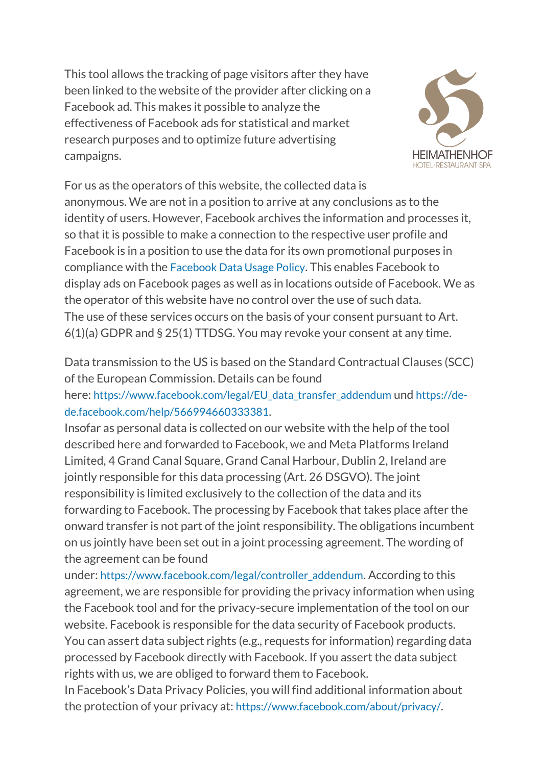This tool allows the tracking of page visitors after they have been linked to the website of the provider after clicking on a Facebook ad. This makes it possible to analyze the effectiveness of Facebook ads for statistical and market research purposes and to optimize future advertising campaigns.



For us as the operators of this website, the collected data is anonymous. We are not in a position to arrive at any conclusions as to the identity of users. However, Facebook archives the information and processes it, so that it is possible to make a connection to the respective user profile and Facebook is in a position to use the data for its own promotional purposes in compliance with the [Facebook](https://www.facebook.com/about/privacy/) Data Usage Policy. This enables Facebook to display ads on Facebook pages as well as in locations outside of Facebook. We as the operator of this website have no control over the use of such data. The use of these services occurs on the basis of your consent pursuant to Art. 6(1)(a) GDPR and § 25(1) TTDSG. You may revoke your consent at any time.

Data transmission to the US is based on the Standard Contractual Clauses (SCC) of the European Commission. Details can be found

here: [https://www.facebook.com/legal/EU\\_data\\_transfer\\_addendum](https://www.facebook.com/legal/EU_data_transfer_addendum) und [https://de](https://de-de.facebook.com/help/566994660333381)[de.facebook.com/help/566994660333381](https://de-de.facebook.com/help/566994660333381).

Insofar as personal data is collected on our website with the help of the tool described here and forwarded to Facebook, we and Meta Platforms Ireland Limited, 4 Grand Canal Square, Grand Canal Harbour, Dublin 2, Ireland are jointly responsible for this data processing (Art. 26 DSGVO). The joint responsibility is limited exclusively to the collection of the data and its forwarding to Facebook. The processing by Facebook that takes place after the onward transfer is not part of the joint responsibility. The obligations incumbent on us jointly have been set out in a joint processing agreement. The wording of the agreement can be found

under: [https://www.facebook.com/legal/controller\\_addendum](https://www.facebook.com/legal/controller_addendum). According to this agreement, we are responsible for providing the privacy information when using the Facebook tool and for the privacy-secure implementation of the tool on our website. Facebook is responsible for the data security of Facebook products. You can assert data subject rights (e.g., requests for information) regarding data processed by Facebook directly with Facebook. If you assert the data subject rights with us, we are obliged to forward them to Facebook.

In Facebook's Data Privacy Policies, you will find additional information about the protection of your privacy at: <https://www.facebook.com/about/privacy/>.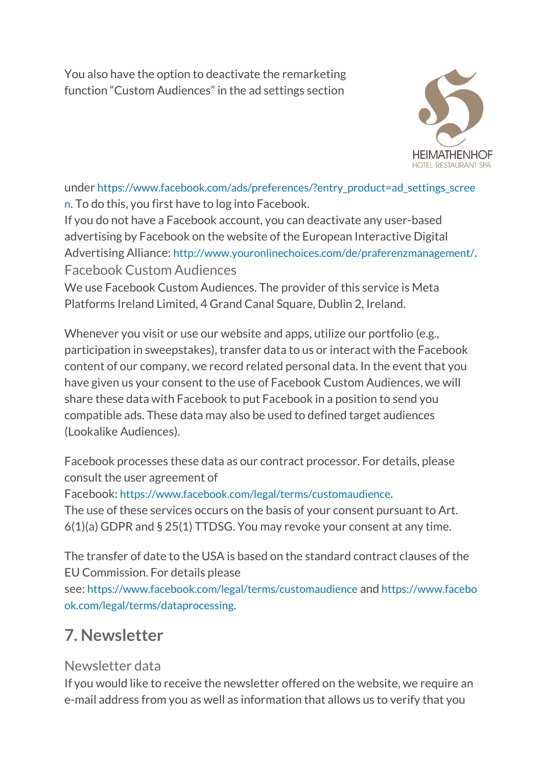You also have the option to deactivate the remarketing function "Custom Audiences" in the ad settings section



under [https://www.facebook.com/ads/preferences/?entry\\_product=ad\\_settings\\_scree](https://www.facebook.com/ads/preferences/?entry_product=ad_settings_screen) [n](https://www.facebook.com/ads/preferences/?entry_product=ad_settings_screen). To do this, you first have to log into Facebook.

If you do not have a Facebook account, you can deactivate any user-based advertising by Facebook on the website of the European Interactive Digital Advertising Alliance: <http://www.youronlinechoices.com/de/praferenzmanagement/>. Facebook Custom Audiences

We use Facebook Custom Audiences. The provider of this service is Meta Platforms Ireland Limited, 4 Grand Canal Square, Dublin 2, Ireland.

Whenever you visit or use our website and apps, utilize our portfolio (e.g., participation in sweepstakes), transfer data to us or interact with the Facebook content of our company, we record related personal data. In the event that you have given us your consent to the use of Facebook Custom Audiences, we will share these data with Facebook to put Facebook in a position to send you compatible ads. These data may also be used to defined target audiences (Lookalike Audiences).

Facebook processes these data as our contract processor. For details, please consult the user agreement of

Facebook: <https://www.facebook.com/legal/terms/customaudience>.

The use of these services occurs on the basis of your consent pursuant to Art. 6(1)(a) GDPR and § 25(1) TTDSG. You may revoke your consent at any time.

The transfer of date to the USA is based on the standard contract clauses of the EU Commission. For details please

see: <https://www.facebook.com/legal/terms/customaudience> and [https://www.facebo](https://www.facebook.com/legal/terms/dataprocessing) [ok.com/legal/terms/dataprocessing](https://www.facebook.com/legal/terms/dataprocessing).

# **7. Newsletter**

## Newsletter data

If you would like to receive the newsletter offered on the website, we require an e-mail address from you as well as information that allows us to verify that you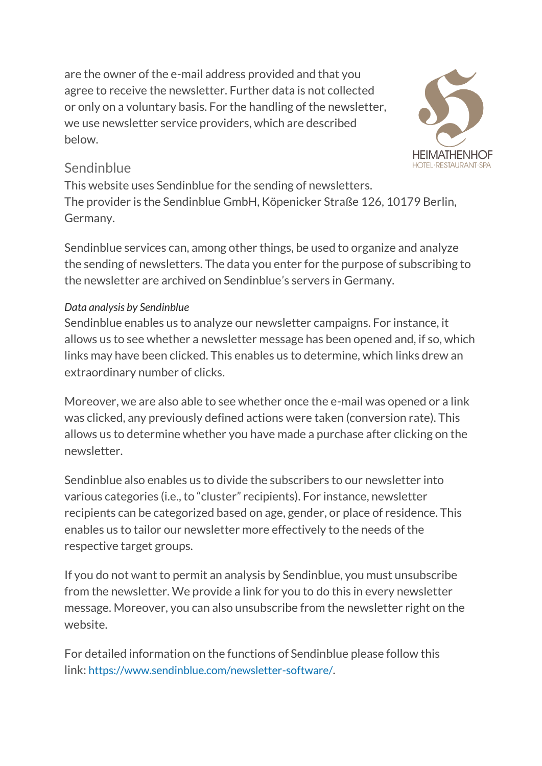are the owner of the e-mail address provided and that you agree to receive the newsletter. Further data is not collected or only on a voluntary basis. For the handling of the newsletter, we use newsletter service providers, which are described below.



## Sendinblue

This website uses Sendinblue for the sending of newsletters. The provider is the Sendinblue GmbH, Köpenicker Straße 126, 10179 Berlin, Germany.

Sendinblue services can, among other things, be used to organize and analyze the sending of newsletters. The data you enter for the purpose of subscribing to the newsletter are archived on Sendinblue's servers in Germany.

### *Data analysis by Sendinblue*

Sendinblue enables us to analyze our newsletter campaigns. For instance, it allows us to see whether a newsletter message has been opened and, if so, which links may have been clicked. This enables us to determine, which links drew an extraordinary number of clicks.

Moreover, we are also able to see whether once the e-mail was opened or a link was clicked, any previously defined actions were taken (conversion rate). This allows us to determine whether you have made a purchase after clicking on the newsletter.

Sendinblue also enables us to divide the subscribers to our newsletter into various categories (i.e., to "cluster" recipients). For instance, newsletter recipients can be categorized based on age, gender, or place of residence. This enables us to tailor our newsletter more effectively to the needs of the respective target groups.

If you do not want to permit an analysis by Sendinblue, you must unsubscribe from the newsletter. We provide a link for you to do this in every newsletter message. Moreover, you can also unsubscribe from the newsletter right on the website.

For detailed information on the functions of Sendinblue please follow this link: <https://www.sendinblue.com/newsletter-software/>.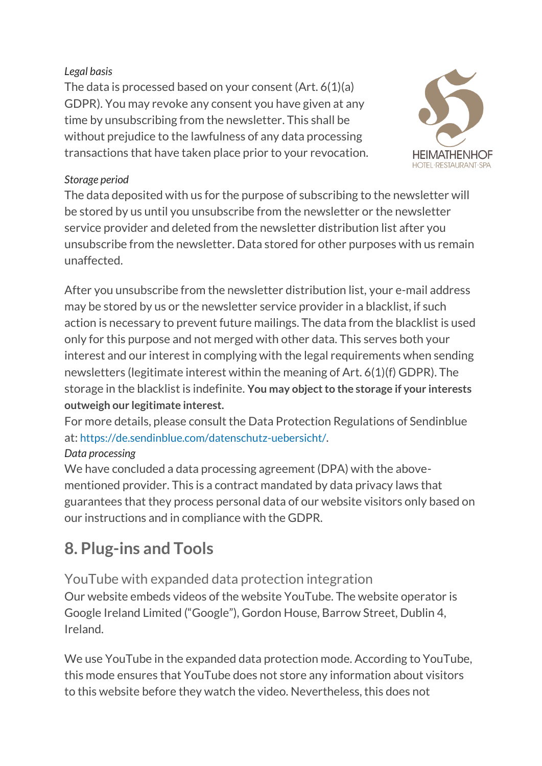#### *Legal basis*

The data is processed based on your consent (Art. 6(1)(a) GDPR). You may revoke any consent you have given at any time by unsubscribing from the newsletter. This shall be without prejudice to the lawfulness of any data processing transactions that have taken place prior to your revocation.



#### *Storage period*

The data deposited with us for the purpose of subscribing to the newsletter will be stored by us until you unsubscribe from the newsletter or the newsletter service provider and deleted from the newsletter distribution list after you unsubscribe from the newsletter. Data stored for other purposes with us remain unaffected.

After you unsubscribe from the newsletter distribution list, your e-mail address may be stored by us or the newsletter service provider in a blacklist, if such action is necessary to prevent future mailings. The data from the blacklist is used only for this purpose and not merged with other data. This serves both your interest and our interest in complying with the legal requirements when sending newsletters (legitimate interest within the meaning of Art. 6(1)(f) GDPR). The storage in the blacklist is indefinite. **You may object to the storage if your interests outweigh our legitimate interest.**

For more details, please consult the Data Protection Regulations of Sendinblue at: <https://de.sendinblue.com/datenschutz-uebersicht/>.

### *Data processing*

We have concluded a data processing agreement (DPA) with the abovementioned provider. This is a contract mandated by data privacy laws that guarantees that they process personal data of our website visitors only based on our instructions and in compliance with the GDPR.

# **8. Plug-ins and Tools**

YouTube with expanded data protection integration Our website embeds videos of the website YouTube. The website operator is Google Ireland Limited ("Google"), Gordon House, Barrow Street, Dublin 4, Ireland.

We use YouTube in the expanded data protection mode. According to YouTube, this mode ensures that YouTube does not store any information about visitors to this website before they watch the video. Nevertheless, this does not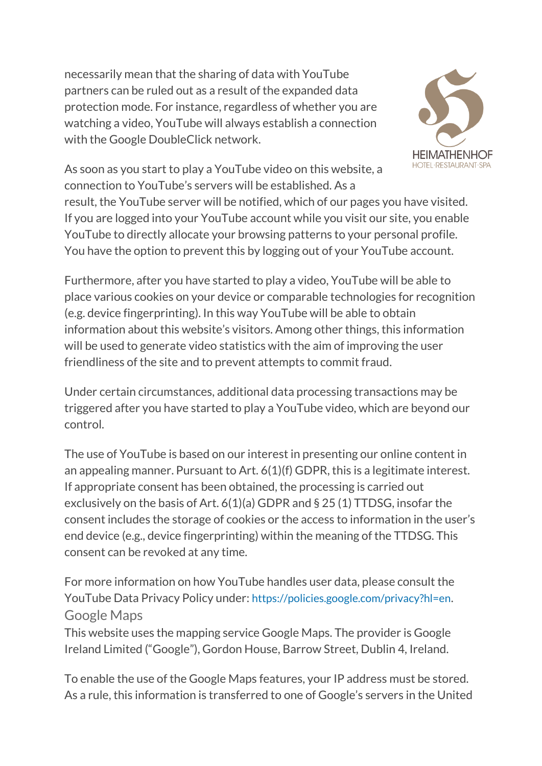necessarily mean that the sharing of data with YouTube partners can be ruled out as a result of the expanded data protection mode. For instance, regardless of whether you are watching a video, YouTube will always establish a connection with the Google DoubleClick network.



As soon as you start to play a YouTube video on this website, a connection to YouTube's servers will be established. As a

result, the YouTube server will be notified, which of our pages you have visited. If you are logged into your YouTube account while you visit our site, you enable YouTube to directly allocate your browsing patterns to your personal profile. You have the option to prevent this by logging out of your YouTube account.

Furthermore, after you have started to play a video, YouTube will be able to place various cookies on your device or comparable technologies for recognition (e.g. device fingerprinting). In this way YouTube will be able to obtain information about this website's visitors. Among other things, this information will be used to generate video statistics with the aim of improving the user friendliness of the site and to prevent attempts to commit fraud.

Under certain circumstances, additional data processing transactions may be triggered after you have started to play a YouTube video, which are beyond our control.

The use of YouTube is based on our interest in presenting our online content in an appealing manner. Pursuant to Art. 6(1)(f) GDPR, this is a legitimate interest. If appropriate consent has been obtained, the processing is carried out exclusively on the basis of Art. 6(1)(a) GDPR and § 25 (1) TTDSG, insofar the consent includes the storage of cookies or the access to information in the user's end device (e.g., device fingerprinting) within the meaning of the TTDSG. This consent can be revoked at any time.

For more information on how YouTube handles user data, please consult the YouTube Data Privacy Policy under: <https://policies.google.com/privacy?hl=en>. Google Maps

This website uses the mapping service Google Maps. The provider is Google Ireland Limited ("Google"), Gordon House, Barrow Street, Dublin 4, Ireland.

To enable the use of the Google Maps features, your IP address must be stored. As a rule, this information is transferred to one of Google's servers in the United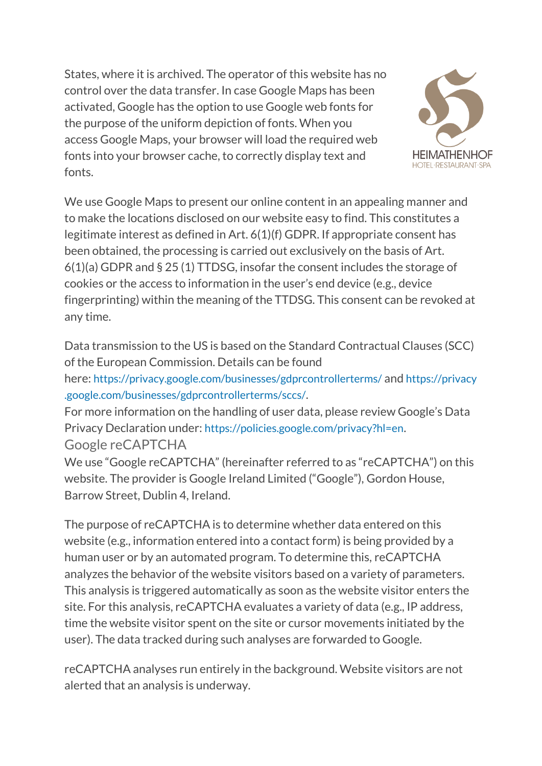States, where it is archived. The operator of this website has no control over the data transfer. In case Google Maps has been activated, Google has the option to use Google web fonts for the purpose of the uniform depiction of fonts. When you access Google Maps, your browser will load the required web fonts into your browser cache, to correctly display text and fonts.



We use Google Maps to present our online content in an appealing manner and to make the locations disclosed on our website easy to find. This constitutes a legitimate interest as defined in Art. 6(1)(f) GDPR. If appropriate consent has been obtained, the processing is carried out exclusively on the basis of Art. 6(1)(a) GDPR and § 25 (1) TTDSG, insofar the consent includes the storage of cookies or the access to information in the user's end device (e.g., device fingerprinting) within the meaning of the TTDSG. This consent can be revoked at any time.

Data transmission to the US is based on the Standard Contractual Clauses (SCC) of the European Commission. Details can be found here: <https://privacy.google.com/businesses/gdprcontrollerterms/> and [https://privacy](https://privacy.google.com/businesses/gdprcontrollerterms/sccs/) [.google.com/businesses/gdprcontrollerterms/sccs/](https://privacy.google.com/businesses/gdprcontrollerterms/sccs/). For more information on the handling of user data, please review Google's Data Privacy Declaration under: <https://policies.google.com/privacy?hl=en>. Google reCAPTCHA

We use "Google reCAPTCHA" (hereinafter referred to as "reCAPTCHA") on this website. The provider is Google Ireland Limited ("Google"), Gordon House, Barrow Street, Dublin 4, Ireland.

The purpose of reCAPTCHA is to determine whether data entered on this website (e.g., information entered into a contact form) is being provided by a human user or by an automated program. To determine this, reCAPTCHA analyzes the behavior of the website visitors based on a variety of parameters. This analysis is triggered automatically as soon as the website visitor enters the site. For this analysis, reCAPTCHA evaluates a variety of data (e.g., IP address, time the website visitor spent on the site or cursor movements initiated by the user). The data tracked during such analyses are forwarded to Google.

reCAPTCHA analyses run entirely in the background. Website visitors are not alerted that an analysis is underway.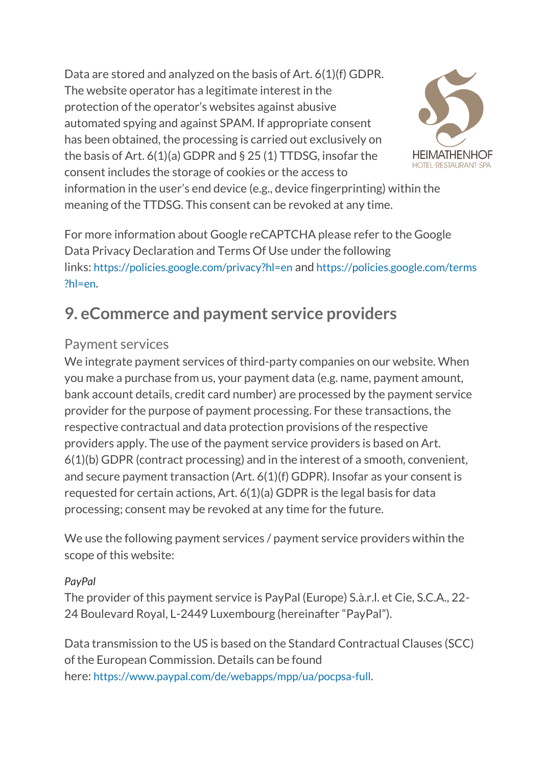Data are stored and analyzed on the basis of Art. 6(1)(f) GDPR. The website operator has a legitimate interest in the protection of the operator's websites against abusive automated spying and against SPAM. If appropriate consent has been obtained, the processing is carried out exclusively on the basis of Art. 6(1)(a) GDPR and § 25 (1) TTDSG, insofar the consent includes the storage of cookies or the access to



information in the user's end device (e.g., device fingerprinting) within the meaning of the TTDSG. This consent can be revoked at any time.

For more information about Google reCAPTCHA please refer to the Google Data Privacy Declaration and Terms Of Use under the following links: <https://policies.google.com/privacy?hl=en> and [https://policies.google.com/terms](https://policies.google.com/terms?hl=en) [?hl=en](https://policies.google.com/terms?hl=en).

# **9. eCommerce and payment service providers**

## Payment services

We integrate payment services of third-party companies on our website. When you make a purchase from us, your payment data (e.g. name, payment amount, bank account details, credit card number) are processed by the payment service provider for the purpose of payment processing. For these transactions, the respective contractual and data protection provisions of the respective providers apply. The use of the payment service providers is based on Art. 6(1)(b) GDPR (contract processing) and in the interest of a smooth, convenient, and secure payment transaction (Art. 6(1)(f) GDPR). Insofar as your consent is requested for certain actions, Art. 6(1)(a) GDPR is the legal basis for data processing; consent may be revoked at any time for the future.

We use the following payment services / payment service providers within the scope of this website:

#### *PayPal*

The provider of this payment service is PayPal (Europe) S.à.r.l. et Cie, S.C.A., 22- 24 Boulevard Royal, L-2449 Luxembourg (hereinafter "PayPal").

Data transmission to the US is based on the Standard Contractual Clauses (SCC) of the European Commission. Details can be found here: <https://www.paypal.com/de/webapps/mpp/ua/pocpsa-full>.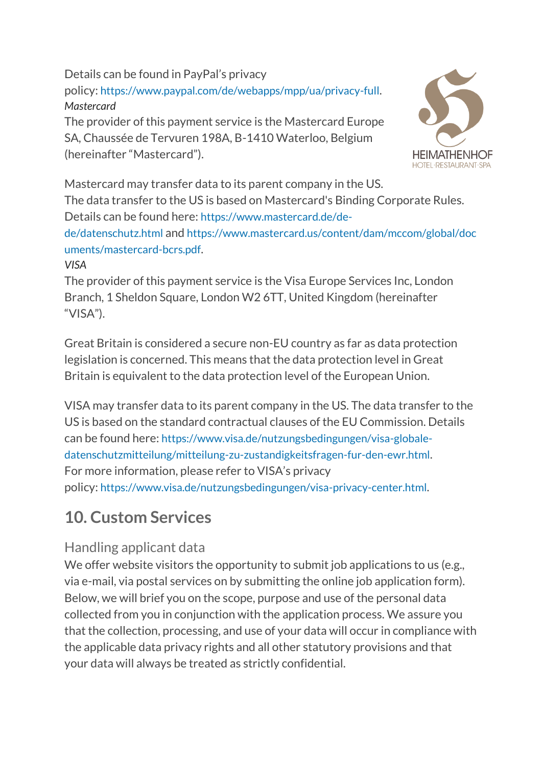Details can be found in PayPal's privacy policy: <https://www.paypal.com/de/webapps/mpp/ua/privacy-full>. *Mastercard*

The provider of this payment service is the Mastercard Europe SA, Chaussée de Tervuren 198A, B-1410 Waterloo, Belgium (hereinafter "Mastercard").



Mastercard may transfer data to its parent company in the US. The data transfer to the US is based on Mastercard's Binding Corporate Rules. Details can be found here: [https://www.mastercard.de/de-](https://www.mastercard.de/de-de/datenschutz.html)

[de/datenschutz.html](https://www.mastercard.de/de-de/datenschutz.html) and [https://www.mastercard.us/content/dam/mccom/global/doc](https://www.mastercard.us/content/dam/mccom/global/documents/mastercard-bcrs.pdf) [uments/mastercard-bcrs.pdf](https://www.mastercard.us/content/dam/mccom/global/documents/mastercard-bcrs.pdf).

#### *VISA*

The provider of this payment service is the Visa Europe Services Inc, London Branch, 1 Sheldon Square, London W2 6TT, United Kingdom (hereinafter "VISA").

Great Britain is considered a secure non-EU country as far as data protection legislation is concerned. This means that the data protection level in Great Britain is equivalent to the data protection level of the European Union.

VISA may transfer data to its parent company in the US. The data transfer to the US is based on the standard contractual clauses of the EU Commission. Details can be found here: [https://www.visa.de/nutzungsbedingungen/visa-globale](https://www.visa.de/nutzungsbedingungen/visa-globale-datenschutzmitteilung/mitteilung-zu-zustandigkeitsfragen-fur-den-ewr.html)[datenschutzmitteilung/mitteilung-zu-zustandigkeitsfragen-fur-den-ewr.html](https://www.visa.de/nutzungsbedingungen/visa-globale-datenschutzmitteilung/mitteilung-zu-zustandigkeitsfragen-fur-den-ewr.html). For more information, please refer to VISA's privacy policy: <https://www.visa.de/nutzungsbedingungen/visa-privacy-center.html>.

# **10. Custom Services**

# Handling applicant data

We offer website visitors the opportunity to submit job applications to us (e.g., via e-mail, via postal services on by submitting the online job application form). Below, we will brief you on the scope, purpose and use of the personal data collected from you in conjunction with the application process. We assure you that the collection, processing, and use of your data will occur in compliance with the applicable data privacy rights and all other statutory provisions and that your data will always be treated as strictly confidential.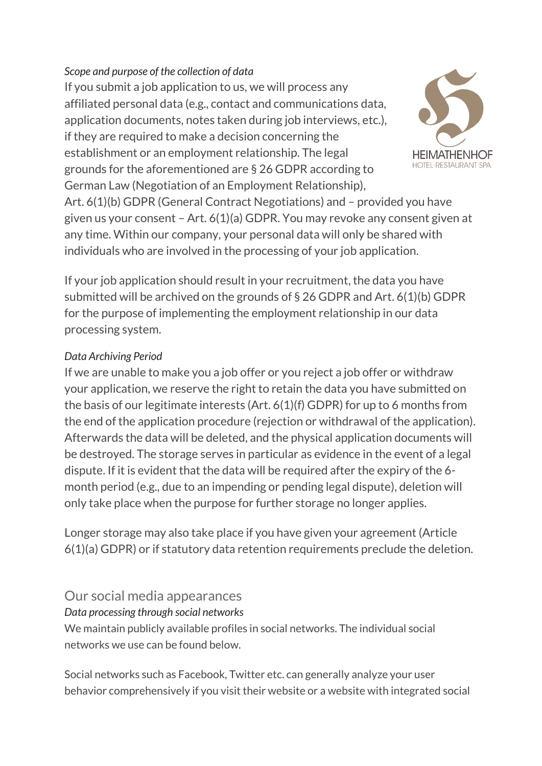#### *Scope and purpose of the collection of data*

If you submit a job application to us, we will process any affiliated personal data (e.g., contact and communications data, application documents, notes taken during job interviews, etc.), if they are required to make a decision concerning the establishment or an employment relationship. The legal grounds for the aforementioned are § 26 GDPR according to German Law (Negotiation of an Employment Relationship),



Art. 6(1)(b) GDPR (General Contract Negotiations) and – provided you have given us your consent – Art. 6(1)(a) GDPR. You may revoke any consent given at any time. Within our company, your personal data will only be shared with individuals who are involved in the processing of your job application.

If your job application should result in your recruitment, the data you have submitted will be archived on the grounds of § 26 GDPR and Art. 6(1)(b) GDPR for the purpose of implementing the employment relationship in our data processing system.

#### *Data Archiving Period*

If we are unable to make you a job offer or you reject a job offer or withdraw your application, we reserve the right to retain the data you have submitted on the basis of our legitimate interests (Art. 6(1)(f) GDPR) for up to 6 months from the end of the application procedure (rejection or withdrawal of the application). Afterwards the data will be deleted, and the physical application documents will be destroyed. The storage serves in particular as evidence in the event of a legal dispute. If it is evident that the data will be required after the expiry of the 6 month period (e.g., due to an impending or pending legal dispute), deletion will only take place when the purpose for further storage no longer applies.

Longer storage may also take place if you have given your agreement (Article 6(1)(a) GDPR) or if statutory data retention requirements preclude the deletion.

## Our social media appearances

#### *Data processing through social networks*

We maintain publicly available profiles in social networks. The individual social networks we use can be found below.

Social networks such as Facebook, Twitter etc. can generally analyze your user behavior comprehensively if you visit their website or a website with integrated social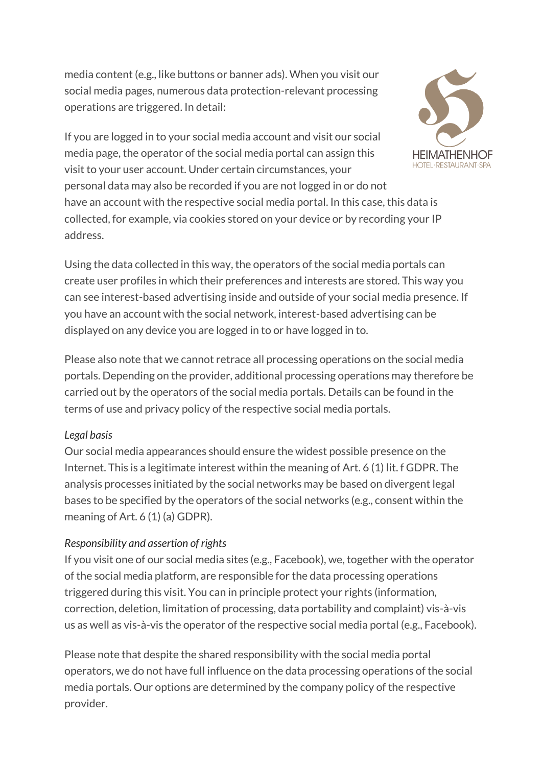media content (e.g., like buttons or banner ads). When you visit our social media pages, numerous data protection-relevant processing operations are triggered. In detail:

If you are logged in to your social media account and visit our social media page, the operator of the social media portal can assign this visit to your user account. Under certain circumstances, your



personal data may also be recorded if you are not logged in or do not have an account with the respective social media portal. In this case, this data is collected, for example, via cookies stored on your device or by recording your IP address.

Using the data collected in this way, the operators of the social media portals can create user profiles in which their preferences and interests are stored. This way you can see interest-based advertising inside and outside of your social media presence. If you have an account with the social network, interest-based advertising can be displayed on any device you are logged in to or have logged in to.

Please also note that we cannot retrace all processing operations on the social media portals. Depending on the provider, additional processing operations may therefore be carried out by the operators of the social media portals. Details can be found in the terms of use and privacy policy of the respective social media portals.

#### *Legal basis*

Our social media appearances should ensure the widest possible presence on the Internet. This is a legitimate interest within the meaning of Art. 6 (1) lit. f GDPR. The analysis processes initiated by the social networks may be based on divergent legal bases to be specified by the operators of the social networks (e.g., consent within the meaning of Art. 6 (1) (a) GDPR).

#### *Responsibility and assertion of rights*

If you visit one of our social media sites (e.g., Facebook), we, together with the operator of the social media platform, are responsible for the data processing operations triggered during this visit. You can in principle protect your rights (information, correction, deletion, limitation of processing, data portability and complaint) vis-à-vis us as well as vis-à-vis the operator of the respective social media portal (e.g., Facebook).

Please note that despite the shared responsibility with the social media portal operators, we do not have full influence on the data processing operations of the social media portals. Our options are determined by the company policy of the respective provider.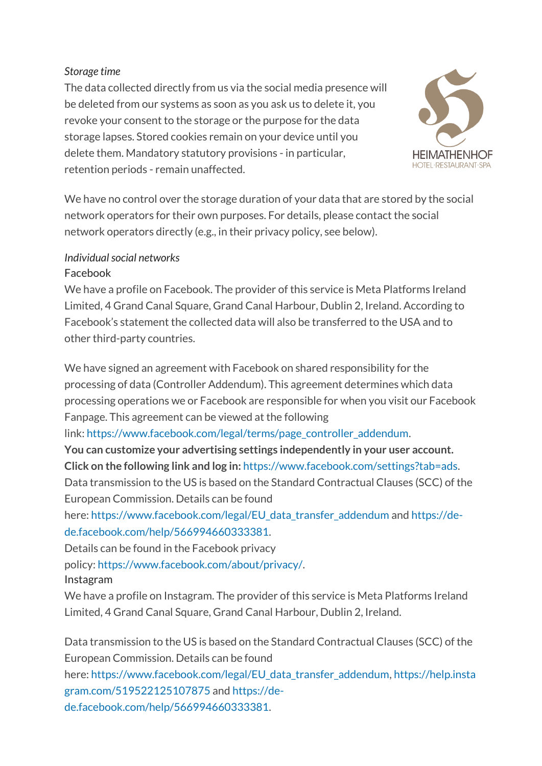#### *Storage time*

The data collected directly from us via the social media presence will be deleted from our systems as soon as you ask us to delete it, you revoke your consent to the storage or the purpose for the data storage lapses. Stored cookies remain on your device until you delete them. Mandatory statutory provisions - in particular, retention periods - remain unaffected.



We have no control over the storage duration of your data that are stored by the social network operators for their own purposes. For details, please contact the social network operators directly (e.g., in their privacy policy, see below).

### *Individual social networks*

#### Facebook

We have a profile on Facebook. The provider of this service is Meta Platforms Ireland Limited, 4 Grand Canal Square, Grand Canal Harbour, Dublin 2, Ireland. According to Facebook's statement the collected data will also be transferred to the USA and to other third-party countries.

We have signed an agreement with Facebook on shared responsibility for the processing of data (Controller Addendum). This agreement determines which data processing operations we or Facebook are responsible for when you visit our Facebook Fanpage. This agreement can be viewed at the following

link: [https://www.facebook.com/legal/terms/page\\_controller\\_addendum.](https://www.facebook.com/legal/terms/page_controller_addendum)

**You can customize your advertising settings independently in your user account. Click on the following link and log in:** [https://www.facebook.com/settings?tab=ads.](https://www.facebook.com/settings?tab=ads) Data transmission to the US is based on the Standard Contractual Clauses (SCC) of the

European Commission. Details can be found

here: [https://www.facebook.com/legal/EU\\_data\\_transfer\\_addendum](https://www.facebook.com/legal/EU_data_transfer_addendum) and [https://de](https://de-de.facebook.com/help/566994660333381)[de.facebook.com/help/566994660333381.](https://de-de.facebook.com/help/566994660333381)

Details can be found in the Facebook privacy

policy: [https://www.facebook.com/about/privacy/.](https://www.facebook.com/about/privacy/)

Instagram

We have a profile on Instagram. The provider of this service is Meta Platforms Ireland Limited, 4 Grand Canal Square, Grand Canal Harbour, Dublin 2, Ireland.

Data transmission to the US is based on the Standard Contractual Clauses (SCC) of the European Commission. Details can be found here: [https://www.facebook.com/legal/EU\\_data\\_transfer\\_addendum,](https://www.facebook.com/legal/EU_data_transfer_addendum) [https://help.insta](https://help.instagram.com/519522125107875) [gram.com/519522125107875](https://help.instagram.com/519522125107875) and [https://de](https://de-de.facebook.com/help/566994660333381)[de.facebook.com/help/566994660333381.](https://de-de.facebook.com/help/566994660333381)